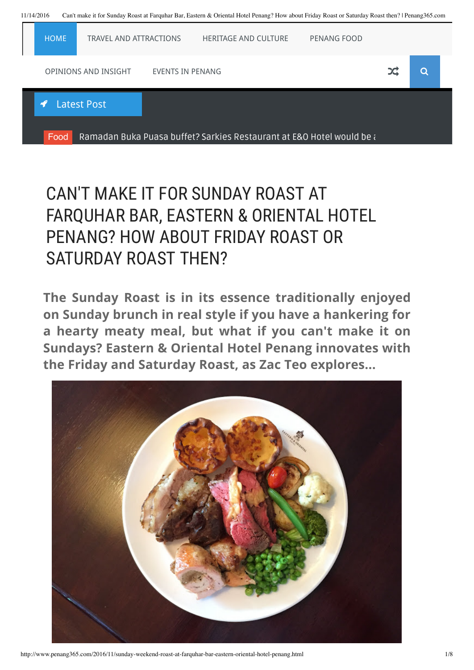

## CAN'T MAKE IT FOR SUNDAY ROAST AT FARQUHAR BAR, EASTERN & ORIENTAL HOTEL PENANG? HOW ABOUT FRIDAY ROAST OR SATURDAY ROAST THEN?

**The Sunday Roast is in its essence traditionally enjoyed on Sunday brunch in real style if you have a hankering for a hearty meaty meal, but what if you can't make it on Sundays? Eastern & Oriental Hotel Penang innovates with the Friday and Saturday Roast, as Zac Teo explores...**



http://www.penang365.com/2016/11/sunday-weekend-roast-at-farquhar-bar-eastern-oriental-hotel-penang.html 1/8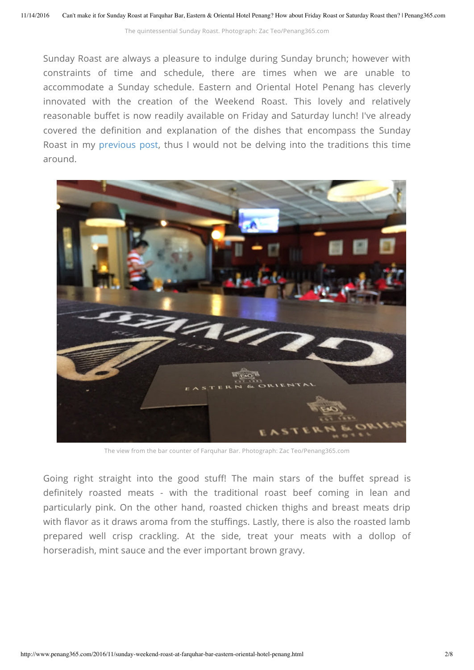The quintessential Sunday Roast. Photograph: Zac Teo/Penang365.com

Sunday Roast are always a pleasure to indulge during Sunday brunch; however with constraints of time and schedule, there are times when we are unable to accommodate a Sunday schedule. Eastern and Oriental Hotel Penang has cleverly innovated with the creation of the Weekend Roast. This lovely and relatively reasonable buffet is now readily available on Friday and Saturday lunch! I've already covered the definition and explanation of the dishes that encompass the Sunday Roast in my [previous](http://www.penang365.com/2016/05/brunch-in-penang-sunday-roast-at.html) post, thus I would not be delving into the traditions this time around.



The view from the bar counter of Farquhar Bar. Photograph: Zac Teo/Penang365.com

Going right straight into the good stuff! The main stars of the buffet spread is definitely roasted meats - with the traditional roast beef coming in lean and particularly pink. On the other hand, roasted chicken thighs and breast meats drip with flavor as it draws aroma from the stuffings. Lastly, there is also the roasted lamb prepared well crisp crackling. At the side, treat your meats with a dollop of horseradish, mint sauce and the ever important brown gravy.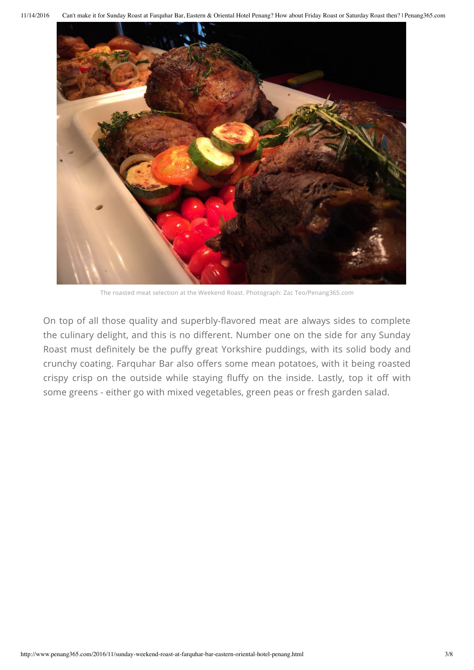

The roasted meat selection at the Weekend Roast. Photograph: Zac Teo/Penang365.com

On top of all those quality and superbly-flavored meat are always sides to complete the culinary delight, and this is no different. Number one on the side for any Sunday Roast must definitely be the puffy great Yorkshire puddings, with its solid body and crunchy coating. Farquhar Bar also offers some mean potatoes, with it being roasted crispy crisp on the outside while staying fluffy on the inside. Lastly, top it off with some greens - either go with mixed vegetables, green peas or fresh garden salad.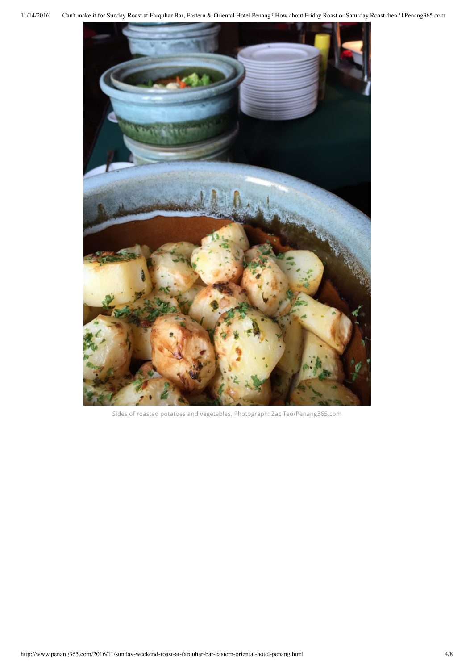

Sides of roasted potatoes and vegetables. Photograph: Zac Teo/Penang365.com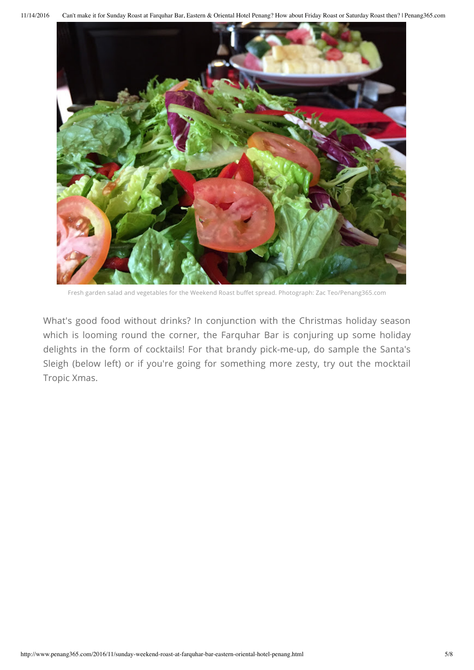11/14/2016 Can't make it for Sunday Roast at Farquhar Bar, Eastern & Oriental Hotel Penang? How about Friday Roast or Saturday Roast then? | Penang365.com



Fresh garden salad and vegetables for the Weekend Roast buffet spread. Photograph: Zac Teo/Penang365.com

What's good food without drinks? In conjunction with the Christmas holiday season which is looming round the corner, the Farquhar Bar is conjuring up some holiday delights in the form of cocktails! For that brandy pick-me-up, do sample the Santa's Sleigh (below left) or if you're going for something more zesty, try out the mocktail Tropic Xmas.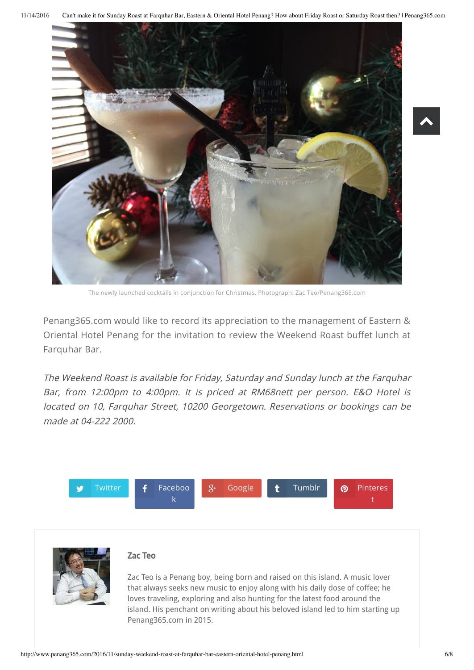11/14/2016 Can't make it for Sunday Roast at Farquhar Bar, Eastern & Oriental Hotel Penang? How about Friday Roast or Saturday Roast then? | Penang365.com



The newly launched cocktails in conjunction for Christmas. Photograph: Zac Teo/Penang365.com

Penang365.com would like to record its appreciation to the management of Eastern & Oriental Hotel Penang for the invitation to review the Weekend Roast buffet lunch at Farquhar Bar.

The Weekend Roast is available for Friday, Saturday and Sunday lunch at the Farquhar Bar, from 12:00pm to 4:00pm. It is priced at RM68nett per person. E&O Hotel is located on 10, Farquhar Street, 10200 Georgetown. Reservations or bookings can be made at 04-222 2000.





## Zac Teo

Zac Teo is a Penang boy, being born and raised on this island. A music lover that always seeks new music to enjoy along with his daily dose of coffee; he loves traveling, exploring and also hunting for the latest food around the island. His penchant on writing about his beloved island led to him starting up Penang365.com in 2015.

 $\blacktriangle$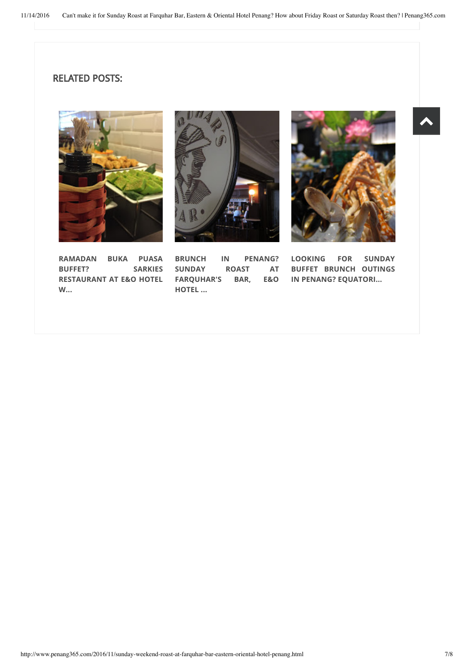## RELATED POSTS:







 $\blacktriangle$ 

**LOOKING FOR SUNDAY BUFFET BRUNCH OUTINGS IN PENANG? [EQUATORI...](http://www.penang365.com/2016/04/looking-for-sunday-buffet-brunch.html)**

**RAMADAN BUKA PUASA BUFFET? SARKIES [RESTAURANT](http://www.penang365.com/2016/06/ramadan-buka-puasa-buffet-sarkies.html) AT E&O HOTEL W...**

**BRUNCH IN PENANG? SUNDAY ROAST AT [FARQUHAR'S](http://www.penang365.com/2016/05/brunch-in-penang-sunday-roast-at.html) BAR, E&O HOTEL ...**